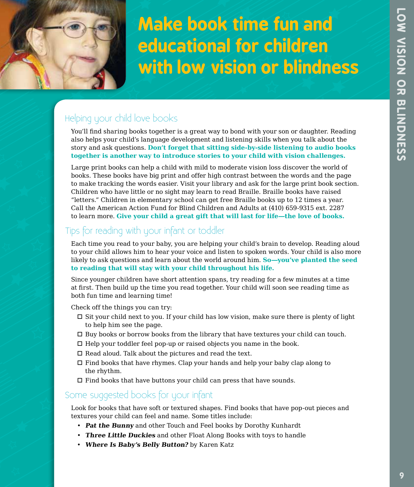

# **Make book time fun and educational for children with low vision or blindness**

# Helping your child love books

You'll find sharing books together is a great way to bond with your son or daughter. Reading also helps your child's language development and listening skills when you talk about the story and ask questions. **Don't forget that sitting side-by-side listening to audio books together is another way to introduce stories to your child with vision challenges.**

Large print books can help a child with mild to moderate vision loss discover the world of books. These books have big print and offer high contrast between the words and the page to make tracking the words easier. Visit your library and ask for the large print book section. Children who have little or no sight may learn to read Braille. Braille books have raised "letters." Children in elementary school can get free Braille books up to 12 times a year. Call the American Action Fund for Blind Children and Adults at (410) 659-9315 ext. 2287 to learn more. **Give your child a great gift that will last for life—the love of books.**

# Tips for reading with your infant or toddler

Each time you read to your baby, you are helping your child's brain to develop. Reading aloud to your child allows him to hear your voice and listen to spoken words. Your child is also more likely to ask questions and learn about the world around him. **So—you've planted the seed to reading that will stay with your child throughout his life.**

Since younger children have short attention spans, try reading for a few minutes at a time at first. Then build up the time you read together. Your child will soon see reading time as both fun time and learning time!

Check off the things you can try:

- $\Box$  Sit your child next to you. If your child has low vision, make sure there is plenty of light to help him see the page.
- $\Box$  Buy books or borrow books from the library that have textures your child can touch.
- $\Box$  Help your toddler feel pop-up or raised objects you name in the book.
- $\Box$  Read aloud. Talk about the pictures and read the text.
- $\Box$  Find books that have rhymes. Clap your hands and help your baby clap along to the rhythm.
- $\Box$  Find books that have buttons your child can press that have sounds.

# Some suggested books for your infant

Look for books that have soft or textured shapes. Find books that have pop-out pieces and textures your child can feel and name. Some titles include:

- **Pat the Bunny** and other Touch and Feel books by Dorothy Kunhardt
- **Three Little Duckies** and other Float Along Books with toys to handle
- **Where Is Baby's Belly Button?** by Karen Katz